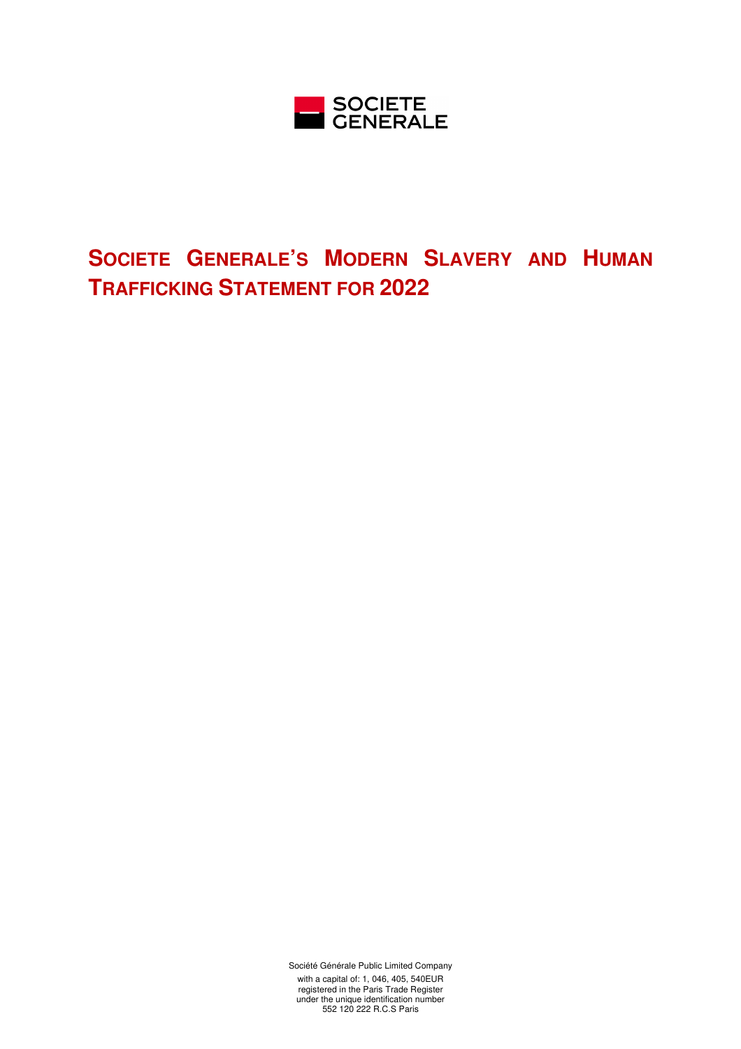

# **SOCIETE GENERALE'S MODERN SLAVERY AND HUMAN TRAFFICKING STATEMENT FOR 2022**

Société Générale Public Limited Company

with a capital of: 1, 046, 405, 540EUR registered in the Paris Trade Register under the unique identification number 552 120 222 R.C.S Paris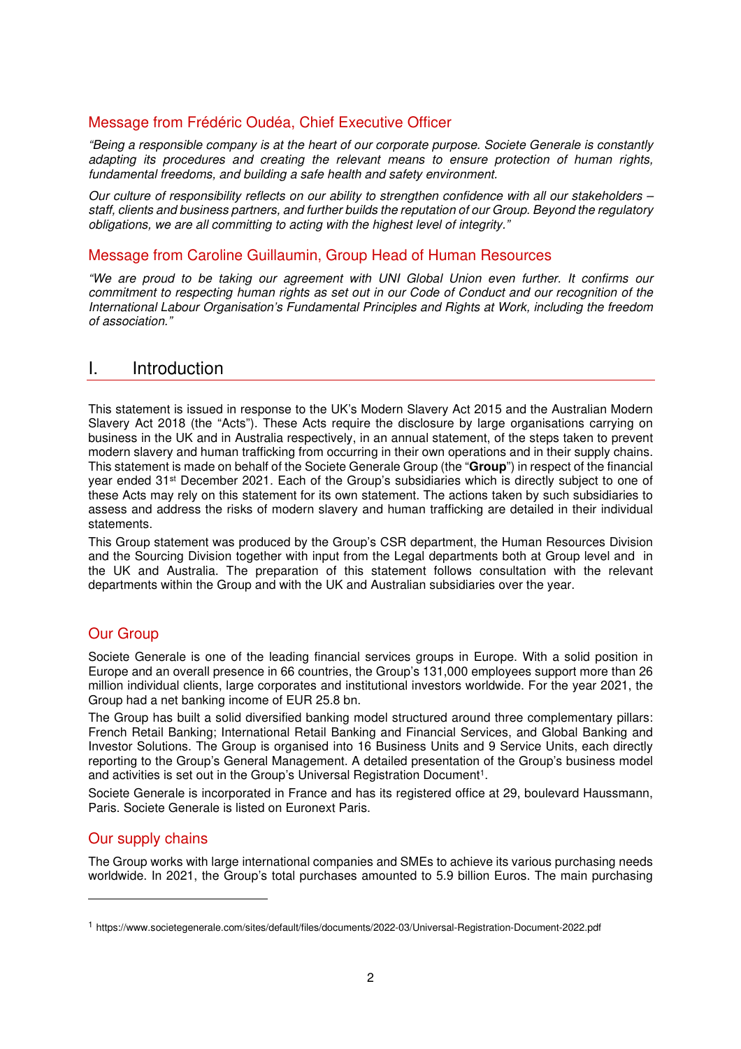## Message from Frédéric Oudéa, Chief Executive Officer

*"Being a responsible company is at the heart of our corporate purpose. Societe Generale is constantly adapting its procedures and creating the relevant means to ensure protection of human rights, fundamental freedoms, and building a safe health and safety environment.*

*Our culture of responsibility reflects on our ability to strengthen confidence with all our stakeholders – staff, clients and business partners, and further builds the reputation of our Group. Beyond the regulatory obligations, we are all committing to acting with the highest level of integrity."* 

#### Message from Caroline Guillaumin, Group Head of Human Resources

*"We are proud to be taking our agreement with UNI Global Union even further. It confirms our commitment to respecting human rights as set out in our Code of Conduct and our recognition of the International Labour Organisation's Fundamental Principles and Rights at Work, including the freedom of association."* 

## I. Introduction

This statement is issued in response to the UK's Modern Slavery Act 2015 and the Australian Modern Slavery Act 2018 (the "Acts"). These Acts require the disclosure by large organisations carrying on business in the UK and in Australia respectively, in an annual statement, of the steps taken to prevent modern slavery and human trafficking from occurring in their own operations and in their supply chains. This statement is made on behalf of the Societe Generale Group (the "**Group**") in respect of the financial year ended 31st December 2021. Each of the Group's subsidiaries which is directly subject to one of these Acts may rely on this statement for its own statement. The actions taken by such subsidiaries to assess and address the risks of modern slavery and human trafficking are detailed in their individual statements.

This Group statement was produced by the Group's CSR department, the Human Resources Division and the Sourcing Division together with input from the Legal departments both at Group level and in the UK and Australia. The preparation of this statement follows consultation with the relevant departments within the Group and with the UK and Australian subsidiaries over the year.

## Our Group

Societe Generale is one of the leading financial services groups in Europe. With a solid position in Europe and an overall presence in 66 countries, the Group's 131,000 employees support more than 26 million individual clients, large corporates and institutional investors worldwide. For the year 2021, the Group had a net banking income of EUR 25.8 bn.

The Group has built a solid diversified banking model structured around three complementary pillars: French Retail Banking; International Retail Banking and Financial Services, and Global Banking and Investor Solutions. The Group is organised into 16 Business Units and 9 Service Units, each directly reporting to the Group's General Management. A detailed presentation of the Group's business model and activities is set out in the Group's Universal Registration Document<sup>1</sup>.

Societe Generale is incorporated in France and has its registered office at 29, boulevard Haussmann, Paris. Societe Generale is listed on Euronext Paris.

## Our supply chains

The Group works with large international companies and SMEs to achieve its various purchasing needs worldwide. In 2021, the Group's total purchases amounted to 5.9 billion Euros. The main purchasing

<sup>1</sup> https://www.societegenerale.com/sites/default/files/documents/2022-03/Universal-Registration-Document-2022.pdf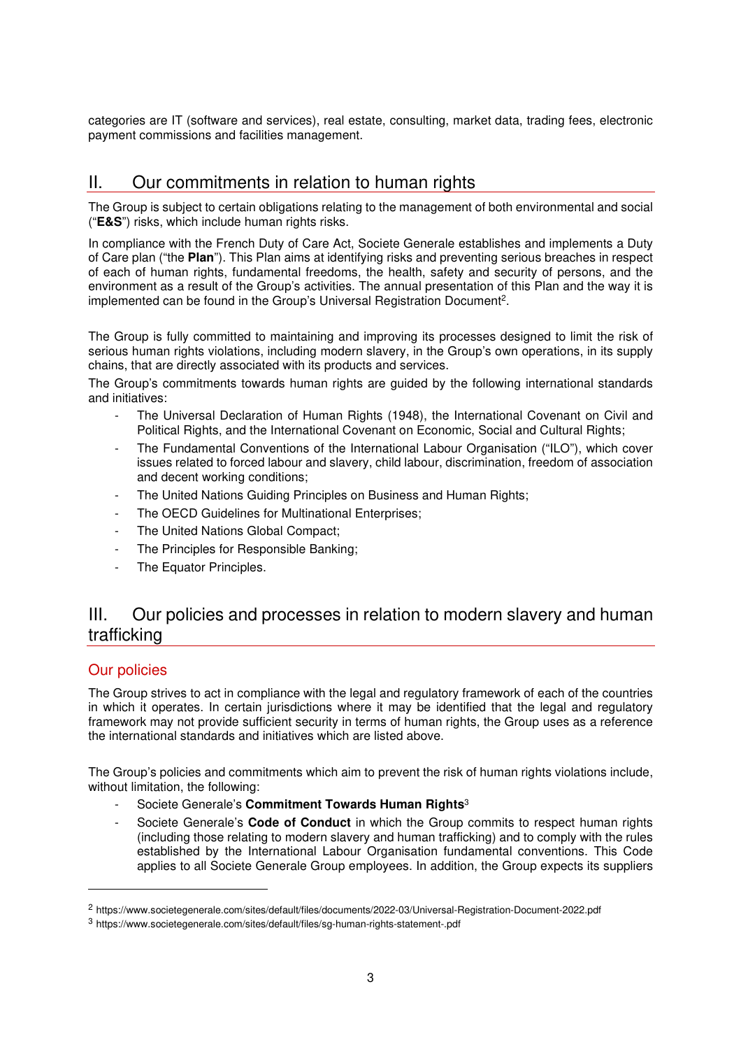categories are IT (software and services), real estate, consulting, market data, trading fees, electronic payment commissions and facilities management.

# II. Our commitments in relation to human rights

The Group is subject to certain obligations relating to the management of both environmental and social ("**E&S**") risks, which include human rights risks.

In compliance with the French Duty of Care Act, Societe Generale establishes and implements a Duty of Care plan ("the **Plan**"). This Plan aims at identifying risks and preventing serious breaches in respect of each of human rights, fundamental freedoms, the health, safety and security of persons, and the environment as a result of the Group's activities. The annual presentation of this Plan and the way it is implemented can be found in the Group's Universal Registration Document<sup>2</sup>.

The Group is fully committed to maintaining and improving its processes designed to limit the risk of serious human rights violations, including modern slavery, in the Group's own operations, in its supply chains, that are directly associated with its products and services.

The Group's commitments towards human rights are guided by the following international standards and initiatives:

- The Universal Declaration of Human Rights (1948), the International Covenant on Civil and Political Rights, and the International Covenant on Economic, Social and Cultural Rights;
- The Fundamental Conventions of the International Labour Organisation ("ILO"), which cover issues related to forced labour and slavery, child labour, discrimination, freedom of association and decent working conditions;
- The United Nations Guiding Principles on Business and Human Rights;
- The OECD Guidelines for Multinational Enterprises;
- The United Nations Global Compact;
- The Principles for Responsible Banking;
- The Equator Principles.

# III. Our policies and processes in relation to modern slavery and human trafficking

## Our policies

The Group strives to act in compliance with the legal and regulatory framework of each of the countries in which it operates. In certain jurisdictions where it may be identified that the legal and regulatory framework may not provide sufficient security in terms of human rights, the Group uses as a reference the international standards and initiatives which are listed above.

The Group's policies and commitments which aim to prevent the risk of human rights violations include, without limitation, the following:

- Societe Generale's **Commitment Towards Human Rights**<sup>3</sup>
- Societe Generale's **Code of Conduct** in which the Group commits to respect human rights (including those relating to modern slavery and human trafficking) and to comply with the rules established by the International Labour Organisation fundamental conventions. This Code applies to all Societe Generale Group employees. In addition, the Group expects its suppliers

<sup>2</sup> https://www.societegenerale.com/sites/default/files/documents/2022-03/Universal-Registration-Document-2022.pdf

<sup>3</sup> https://www.societegenerale.com/sites/default/files/sg-human-rights-statement-.pdf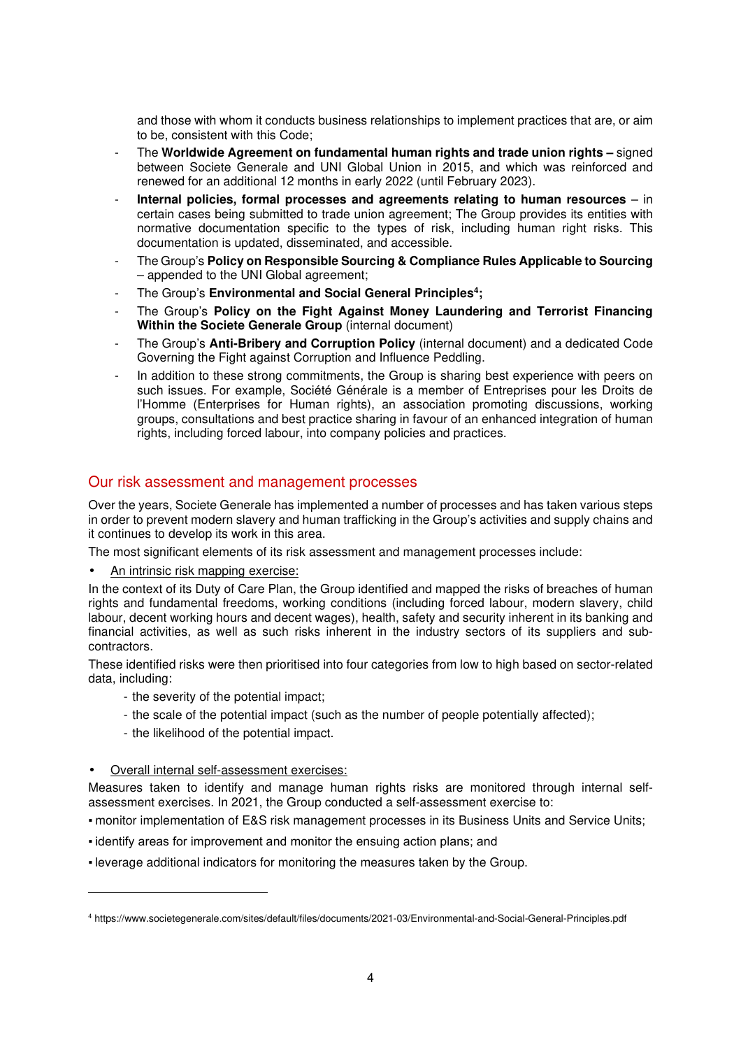and those with whom it conducts business relationships to implement practices that are, or aim to be, consistent with this Code;

- The **Worldwide Agreement on fundamental human rights and trade union rights –** signed between Societe Generale and UNI Global Union in 2015, and which was reinforced and renewed for an additional 12 months in early 2022 (until February 2023).
- **Internal policies, formal processes and agreements relating to human resources** in certain cases being submitted to trade union agreement; The Group provides its entities with normative documentation specific to the types of risk, including human right risks. This documentation is updated, disseminated, and accessible.
- The Group's **Policy on Responsible Sourcing & Compliance Rules Applicable to Sourcing** – appended to the UNI Global agreement;
- The Group's **Environmental and Social General Principles<sup>4</sup> ;**
- The Group's **Policy on the Fight Against Money Laundering and Terrorist Financing Within the Societe Generale Group** (internal document)
- The Group's **Anti-Bribery and Corruption Policy** (internal document) and a dedicated Code Governing the Fight against Corruption and Influence Peddling.
- In addition to these strong commitments, the Group is sharing best experience with peers on such issues. For example, Société Générale is a member of Entreprises pour les Droits de l'Homme (Enterprises for Human rights), an association promoting discussions, working groups, consultations and best practice sharing in favour of an enhanced integration of human rights, including forced labour, into company policies and practices.

#### Our risk assessment and management processes

Over the years, Societe Generale has implemented a number of processes and has taken various steps in order to prevent modern slavery and human trafficking in the Group's activities and supply chains and it continues to develop its work in this area.

The most significant elements of its risk assessment and management processes include:

• An intrinsic risk mapping exercise:

In the context of its Duty of Care Plan, the Group identified and mapped the risks of breaches of human rights and fundamental freedoms, working conditions (including forced labour, modern slavery, child labour, decent working hours and decent wages), health, safety and security inherent in its banking and financial activities, as well as such risks inherent in the industry sectors of its suppliers and subcontractors.

These identified risks were then prioritised into four categories from low to high based on sector-related data, including:

- the severity of the potential impact;
	- the scale of the potential impact (such as the number of people potentially affected);
	- the likelihood of the potential impact.

#### • Overall internal self-assessment exercises:

Measures taken to identify and manage human rights risks are monitored through internal selfassessment exercises. In 2021, the Group conducted a self-assessment exercise to:

▪ monitor implementation of E&S risk management processes in its Business Units and Service Units;

- identify areas for improvement and monitor the ensuing action plans; and
- leverage additional indicators for monitoring the measures taken by the Group.

<sup>4</sup> https://www.societegenerale.com/sites/default/files/documents/2021-03/Environmental-and-Social-General-Principles.pdf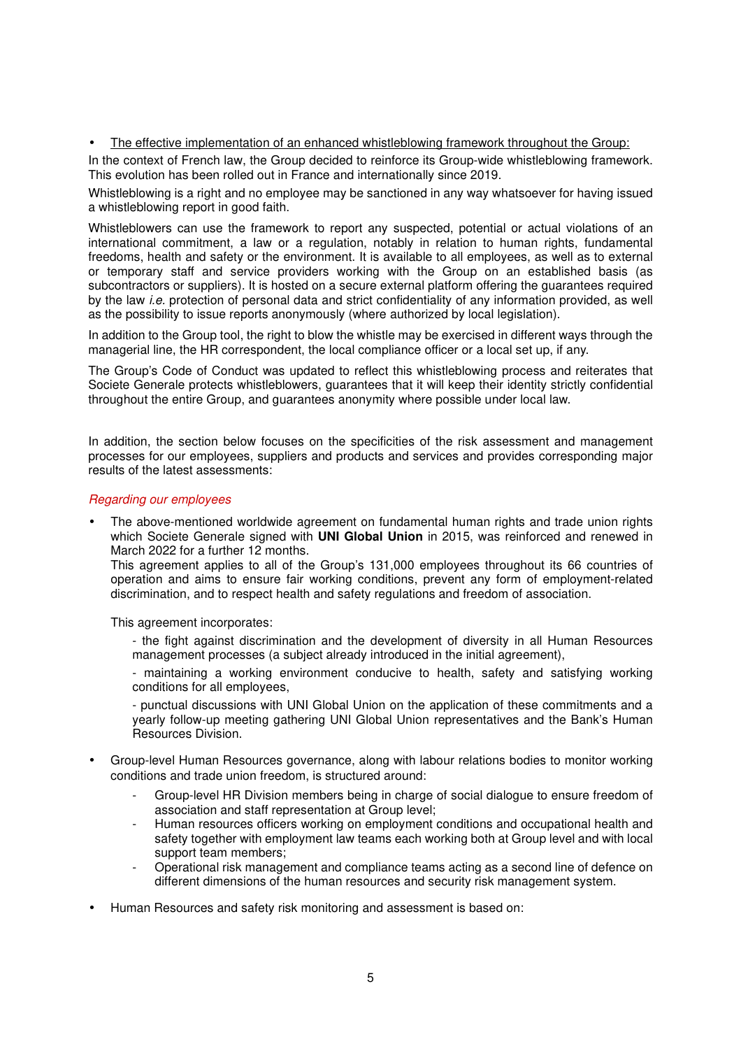#### • The effective implementation of an enhanced whistleblowing framework throughout the Group:

In the context of French law, the Group decided to reinforce its Group-wide whistleblowing framework. This evolution has been rolled out in France and internationally since 2019.

Whistleblowing is a right and no employee may be sanctioned in any way whatsoever for having issued a whistleblowing report in good faith.

Whistleblowers can use the framework to report any suspected, potential or actual violations of an international commitment, a law or a regulation, notably in relation to human rights, fundamental freedoms, health and safety or the environment. It is available to all employees, as well as to external or temporary staff and service providers working with the Group on an established basis (as subcontractors or suppliers). It is hosted on a secure external platform offering the guarantees required by the law *i.e.* protection of personal data and strict confidentiality of any information provided, as well as the possibility to issue reports anonymously (where authorized by local legislation).

In addition to the Group tool, the right to blow the whistle may be exercised in different ways through the managerial line, the HR correspondent, the local compliance officer or a local set up, if any.

The Group's Code of Conduct was updated to reflect this whistleblowing process and reiterates that Societe Generale protects whistleblowers, guarantees that it will keep their identity strictly confidential throughout the entire Group, and guarantees anonymity where possible under local law.

In addition, the section below focuses on the specificities of the risk assessment and management processes for our employees, suppliers and products and services and provides corresponding major results of the latest assessments:

#### *Regarding our employees*

• The above-mentioned worldwide agreement on fundamental human rights and trade union rights which Societe Generale signed with **UNI Global Union** in 2015, was reinforced and renewed in March 2022 for a further 12 months.

This agreement applies to all of the Group's 131,000 employees throughout its 66 countries of operation and aims to ensure fair working conditions, prevent any form of employment-related discrimination, and to respect health and safety regulations and freedom of association.

This agreement incorporates:

- the fight against discrimination and the development of diversity in all Human Resources management processes (a subject already introduced in the initial agreement),

- maintaining a working environment conducive to health, safety and satisfying working conditions for all employees,

- punctual discussions with UNI Global Union on the application of these commitments and a yearly follow-up meeting gathering UNI Global Union representatives and the Bank's Human Resources Division.

- Group-level Human Resources governance, along with labour relations bodies to monitor working conditions and trade union freedom, is structured around:
	- Group-level HR Division members being in charge of social dialogue to ensure freedom of association and staff representation at Group level;
	- Human resources officers working on employment conditions and occupational health and safety together with employment law teams each working both at Group level and with local support team members;
	- Operational risk management and compliance teams acting as a second line of defence on different dimensions of the human resources and security risk management system.
- Human Resources and safety risk monitoring and assessment is based on: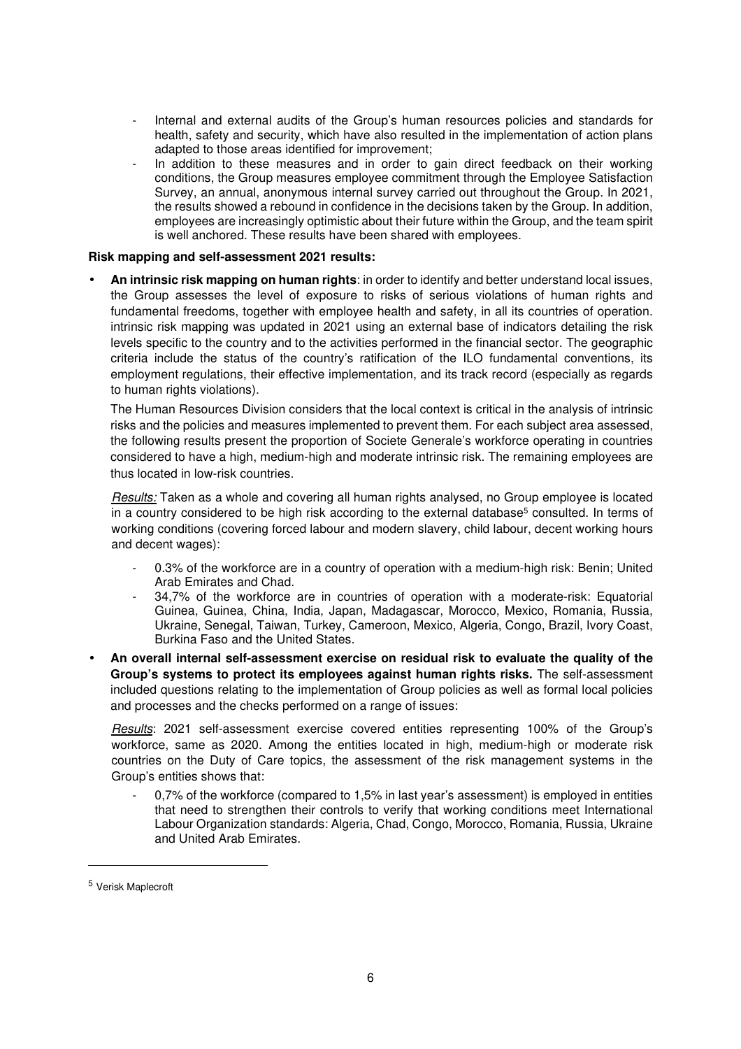- Internal and external audits of the Group's human resources policies and standards for health, safety and security, which have also resulted in the implementation of action plans adapted to those areas identified for improvement;
- In addition to these measures and in order to gain direct feedback on their working conditions, the Group measures employee commitment through the Employee Satisfaction Survey, an annual, anonymous internal survey carried out throughout the Group. In 2021, the results showed a rebound in confidence in the decisions taken by the Group. In addition, employees are increasingly optimistic about their future within the Group, and the team spirit is well anchored. These results have been shared with employees.

#### **Risk mapping and self-assessment 2021 results:**

• **An intrinsic risk mapping on human rights**: in order to identify and better understand local issues, the Group assesses the level of exposure to risks of serious violations of human rights and fundamental freedoms, together with employee health and safety, in all its countries of operation. intrinsic risk mapping was updated in 2021 using an external base of indicators detailing the risk levels specific to the country and to the activities performed in the financial sector. The geographic criteria include the status of the country's ratification of the ILO fundamental conventions, its employment regulations, their effective implementation, and its track record (especially as regards to human rights violations).

The Human Resources Division considers that the local context is critical in the analysis of intrinsic risks and the policies and measures implemented to prevent them. For each subject area assessed, the following results present the proportion of Societe Generale's workforce operating in countries considered to have a high, medium-high and moderate intrinsic risk. The remaining employees are thus located in low-risk countries.

*Results:* Taken as a whole and covering all human rights analysed, no Group employee is located in a country considered to be high risk according to the external database<sup>5</sup> consulted. In terms of working conditions (covering forced labour and modern slavery, child labour, decent working hours and decent wages):

- 0.3% of the workforce are in a country of operation with a medium-high risk: Benin; United Arab Emirates and Chad.
- 34,7% of the workforce are in countries of operation with a moderate-risk: Equatorial Guinea, Guinea, China, India, Japan, Madagascar, Morocco, Mexico, Romania, Russia, Ukraine, Senegal, Taiwan, Turkey, Cameroon, Mexico, Algeria, Congo, Brazil, Ivory Coast, Burkina Faso and the United States.
- **An overall internal self-assessment exercise on residual risk to evaluate the quality of the Group's systems to protect its employees against human rights risks.** The self-assessment included questions relating to the implementation of Group policies as well as formal local policies and processes and the checks performed on a range of issues:

*Results*: 2021 self-assessment exercise covered entities representing 100% of the Group's workforce, same as 2020. Among the entities located in high, medium-high or moderate risk countries on the Duty of Care topics, the assessment of the risk management systems in the Group's entities shows that:

- 0,7% of the workforce (compared to 1,5% in last year's assessment) is employed in entities that need to strengthen their controls to verify that working conditions meet International Labour Organization standards: Algeria, Chad, Congo, Morocco, Romania, Russia, Ukraine and United Arab Emirates.

<sup>5</sup> Verisk Maplecroft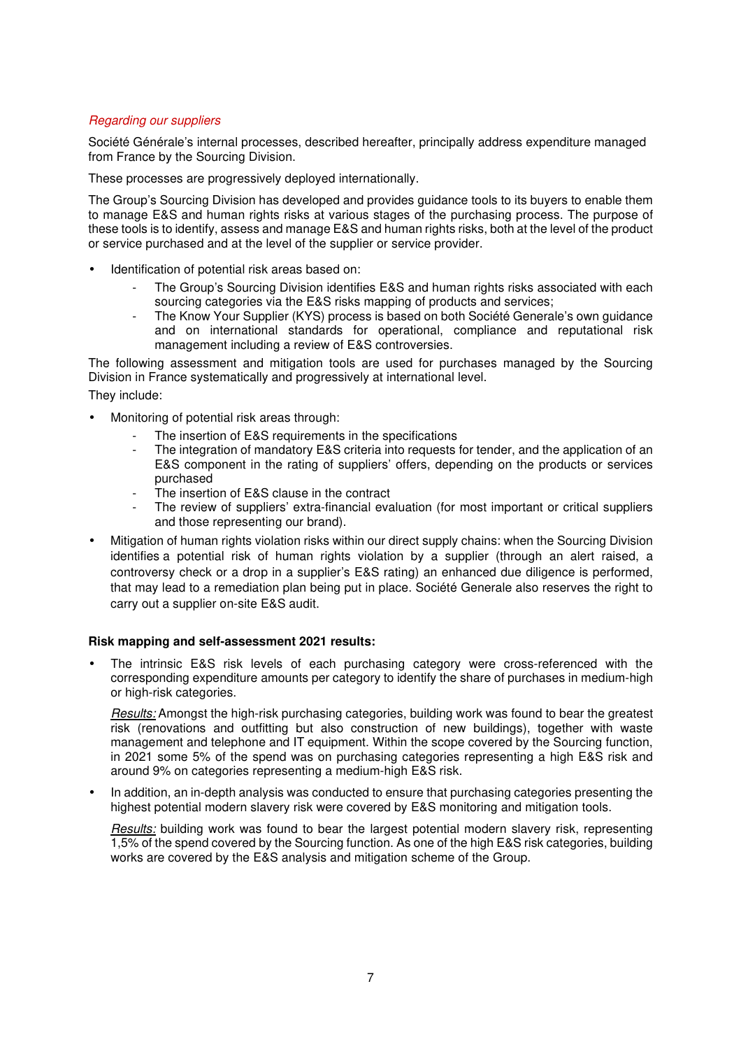#### *Regarding our suppliers*

Société Générale's internal processes, described hereafter, principally address expenditure managed from France by the Sourcing Division.

These processes are progressively deployed internationally.

The Group's Sourcing Division has developed and provides guidance tools to its buyers to enable them to manage E&S and human rights risks at various stages of the purchasing process. The purpose of these tools is to identify, assess and manage E&S and human rights risks, both at the level of the product or service purchased and at the level of the supplier or service provider.

- Identification of potential risk areas based on:
	- The Group's Sourcing Division identifies E&S and human rights risks associated with each sourcing categories via the E&S risks mapping of products and services;
	- The Know Your Supplier (KYS) process is based on both Société Generale's own guidance and on international standards for operational, compliance and reputational risk management including a review of E&S controversies.

The following assessment and mitigation tools are used for purchases managed by the Sourcing Division in France systematically and progressively at international level.

They include:

- Monitoring of potential risk areas through:
	- The insertion of E&S requirements in the specifications
	- The integration of mandatory E&S criteria into requests for tender, and the application of an E&S component in the rating of suppliers' offers, depending on the products or services purchased
	- The insertion of E&S clause in the contract
	- The review of suppliers' extra-financial evaluation (for most important or critical suppliers and those representing our brand).
- Mitigation of human rights violation risks within our direct supply chains: when the Sourcing Division identifies a potential risk of human rights violation by a supplier (through an alert raised, a controversy check or a drop in a supplier's E&S rating) an enhanced due diligence is performed, that may lead to a remediation plan being put in place. Société Generale also reserves the right to carry out a supplier on-site E&S audit.

#### **Risk mapping and self-assessment 2021 results:**

• The intrinsic E&S risk levels of each purchasing category were cross-referenced with the corresponding expenditure amounts per category to identify the share of purchases in medium-high or high-risk categories.

*Results:* Amongst the high-risk purchasing categories, building work was found to bear the greatest risk (renovations and outfitting but also construction of new buildings), together with waste management and telephone and IT equipment. Within the scope covered by the Sourcing function, in 2021 some 5% of the spend was on purchasing categories representing a high E&S risk and around 9% on categories representing a medium-high E&S risk.

• In addition, an in-depth analysis was conducted to ensure that purchasing categories presenting the highest potential modern slavery risk were covered by E&S monitoring and mitigation tools.

*Results:* building work was found to bear the largest potential modern slavery risk, representing 1,5% of the spend covered by the Sourcing function. As one of the high E&S risk categories, building works are covered by the E&S analysis and mitigation scheme of the Group.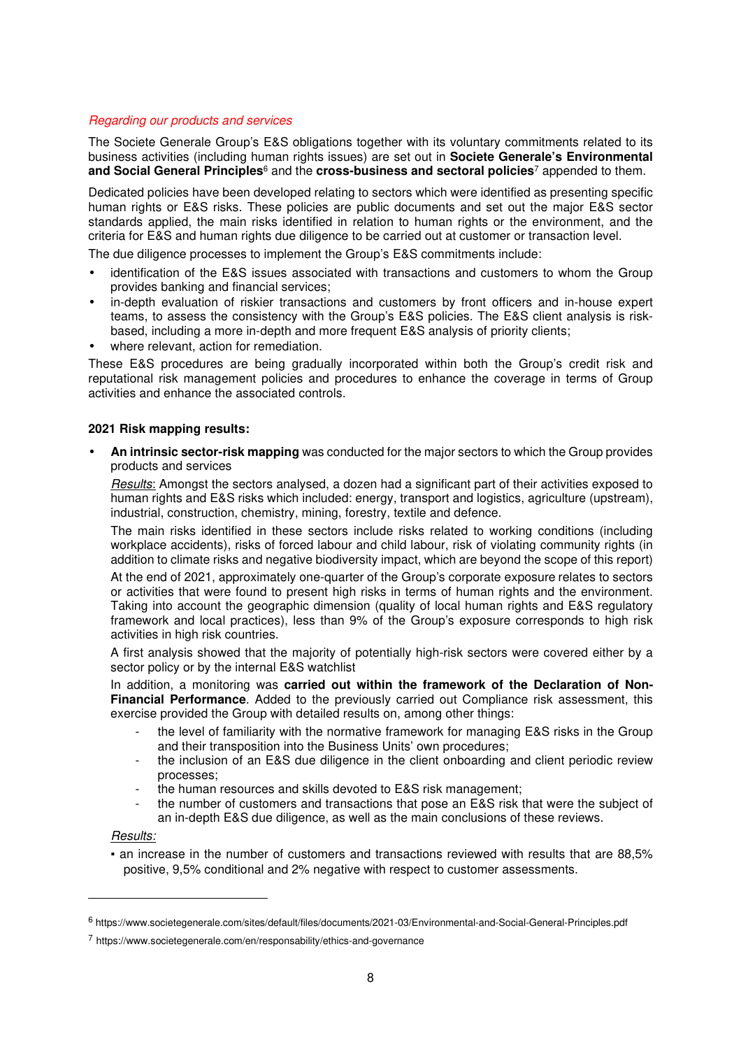#### *Regarding our products and services*

The Societe Generale Group's E&S obligations together with its voluntary commitments related to its business activities (including human rights issues) are set out in **Societe Generale's Environmental and Social General Principles**6 and the **cross-business and sectoral policies**<sup>7</sup> appended to them.

Dedicated policies have been developed relating to sectors which were identified as presenting specific human rights or E&S risks. These policies are public documents and set out the major E&S sector standards applied, the main risks identified in relation to human rights or the environment, and the criteria for E&S and human rights due diligence to be carried out at customer or transaction level.

The due diligence processes to implement the Group's E&S commitments include:

- identification of the E&S issues associated with transactions and customers to whom the Group provides banking and financial services;
- in-depth evaluation of riskier transactions and customers by front officers and in-house expert teams, to assess the consistency with the Group's E&S policies. The E&S client analysis is riskbased, including a more in-depth and more frequent E&S analysis of priority clients;
- where relevant, action for remediation.

These E&S procedures are being gradually incorporated within both the Group's credit risk and reputational risk management policies and procedures to enhance the coverage in terms of Group activities and enhance the associated controls.

#### **2021 Risk mapping results:**

• **An intrinsic sector-risk mapping** was conducted for the major sectors to which the Group provides products and services

*Results*: Amongst the sectors analysed, a dozen had a significant part of their activities exposed to human rights and E&S risks which included: energy, transport and logistics, agriculture (upstream), industrial, construction, chemistry, mining, forestry, textile and defence.

The main risks identified in these sectors include risks related to working conditions (including workplace accidents), risks of forced labour and child labour, risk of violating community rights (in addition to climate risks and negative biodiversity impact, which are beyond the scope of this report)

At the end of 2021, approximately one-quarter of the Group's corporate exposure relates to sectors or activities that were found to present high risks in terms of human rights and the environment. Taking into account the geographic dimension (quality of local human rights and E&S regulatory framework and local practices), less than 9% of the Group's exposure corresponds to high risk activities in high risk countries.

A first analysis showed that the majority of potentially high-risk sectors were covered either by a sector policy or by the internal E&S watchlist

In addition, a monitoring was **carried out within the framework of the Declaration of Non-Financial Performance**. Added to the previously carried out Compliance risk assessment, this exercise provided the Group with detailed results on, among other things:

- the level of familiarity with the normative framework for managing E&S risks in the Group and their transposition into the Business Units' own procedures;
- the inclusion of an E&S due diligence in the client onboarding and client periodic review processes;
- the human resources and skills devoted to E&S risk management;
- the number of customers and transactions that pose an E&S risk that were the subject of an in-depth E&S due diligence, as well as the main conclusions of these reviews.

#### *Results:*

▪ an increase in the number of customers and transactions reviewed with results that are 88,5% positive, 9,5% conditional and 2% negative with respect to customer assessments.

<sup>6</sup> https://www.societegenerale.com/sites/default/files/documents/2021-03/Environmental-and-Social-General-Principles.pdf

<sup>7</sup> https://www.societegenerale.com/en/responsability/ethics-and-governance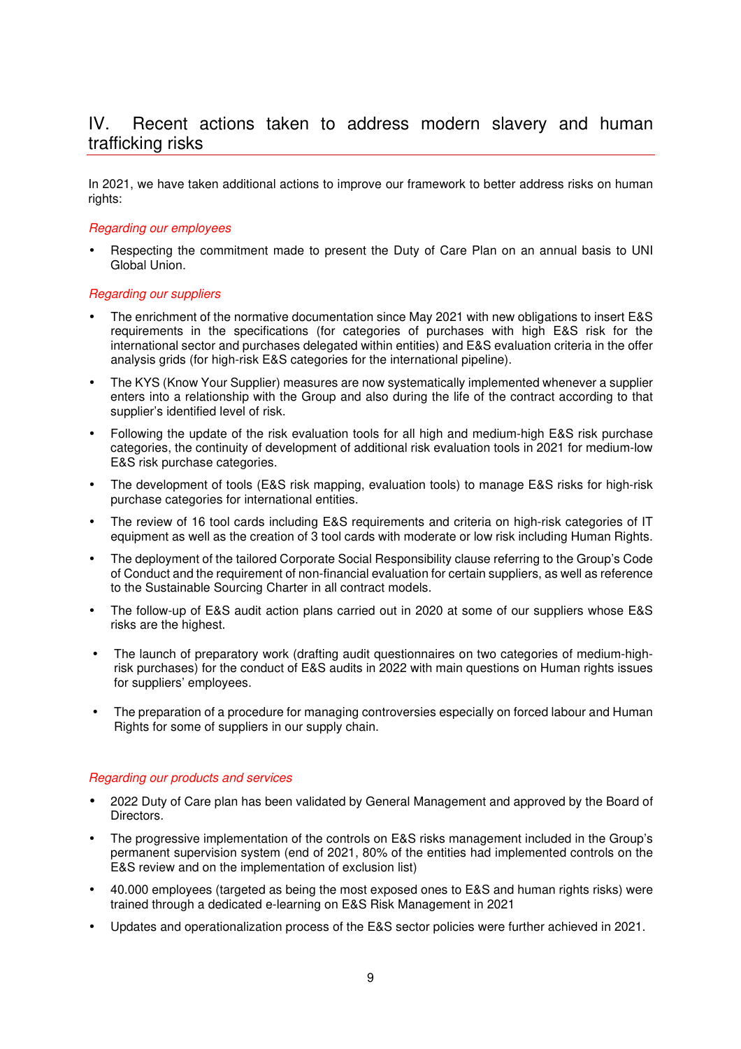# IV. Recent actions taken to address modern slavery and human trafficking risks

In 2021, we have taken additional actions to improve our framework to better address risks on human rights:

#### *Regarding our employees*

Respecting the commitment made to present the Duty of Care Plan on an annual basis to UNI Global Union.

#### *Regarding our suppliers*

- The enrichment of the normative documentation since May 2021 with new obligations to insert E&S requirements in the specifications (for categories of purchases with high E&S risk for the international sector and purchases delegated within entities) and E&S evaluation criteria in the offer analysis grids (for high-risk E&S categories for the international pipeline).
- The KYS (Know Your Supplier) measures are now systematically implemented whenever a supplier enters into a relationship with the Group and also during the life of the contract according to that supplier's identified level of risk.
- Following the update of the risk evaluation tools for all high and medium-high E&S risk purchase categories, the continuity of development of additional risk evaluation tools in 2021 for medium-low E&S risk purchase categories.
- The development of tools (E&S risk mapping, evaluation tools) to manage E&S risks for high-risk purchase categories for international entities.
- The review of 16 tool cards including E&S requirements and criteria on high-risk categories of IT equipment as well as the creation of 3 tool cards with moderate or low risk including Human Rights.
- The deployment of the tailored Corporate Social Responsibility clause referring to the Group's Code of Conduct and the requirement of non-financial evaluation for certain suppliers, as well as reference to the Sustainable Sourcing Charter in all contract models.
- The follow-up of E&S audit action plans carried out in 2020 at some of our suppliers whose E&S risks are the highest.
- The launch of preparatory work (drafting audit questionnaires on two categories of medium-highrisk purchases) for the conduct of E&S audits in 2022 with main questions on Human rights issues for suppliers' employees.
- The preparation of a procedure for managing controversies especially on forced labour and Human Rights for some of suppliers in our supply chain.

#### *Regarding our products and services*

- 2022 Duty of Care plan has been validated by General Management and approved by the Board of Directors.
- The progressive implementation of the controls on E&S risks management included in the Group's permanent supervision system (end of 2021, 80% of the entities had implemented controls on the E&S review and on the implementation of exclusion list)
- 40.000 employees (targeted as being the most exposed ones to E&S and human rights risks) were trained through a dedicated e-learning on E&S Risk Management in 2021
- Updates and operationalization process of the E&S sector policies were further achieved in 2021.